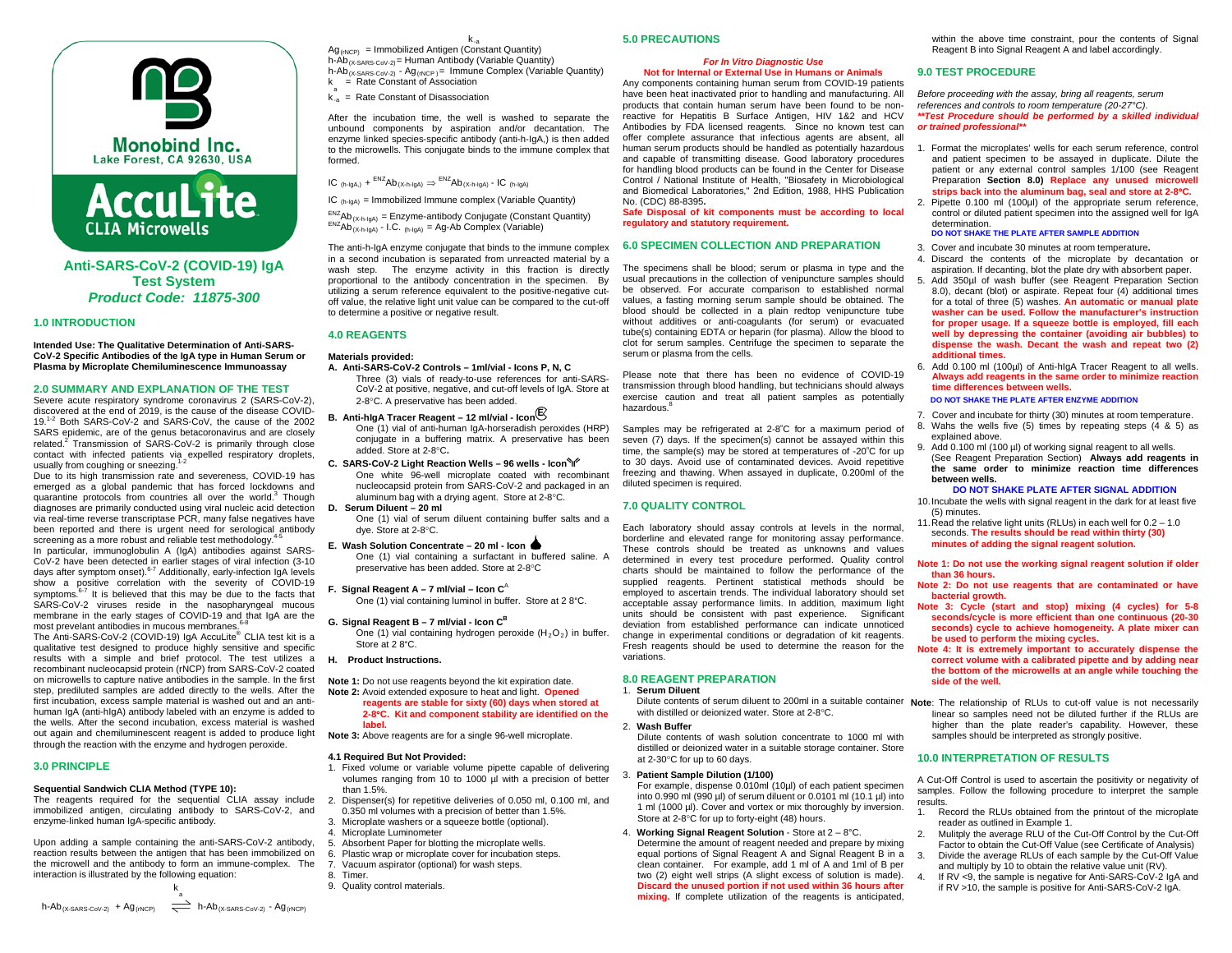



**Anti-SARS-CoV-2 (COVID-19) IgA Test System** *Product Code: 11875-300* 

## **1.0 INTRODUCTION**

**Intended Use: The Qualitative Determination of Anti-SARS-CoV-2 Specific Antibodies of the IgA type in Human Serum or Plasma by Microplate Chemiluminescence Immunoassay**

## **2.0 SUMMARY AND EXPLANATION OF THE TEST**

Severe acute respiratory syndrome coronavirus 2 (SARS-CoV-2), discovered at the end of 2019, is the cause of the disease COVID-19.1-2 Both SARS-CoV-2 and SARS-CoV, the cause of the 2002 SARS epidemic, are of the genus betacoronavirus and are closely related.<sup>2</sup> Transmission of SARS-CoV-2 is primarily through close contact with infected patients via expelled respiratory droplets,<br>usually from coughing or sneezing.<sup>1-2</sup>

Due to its high transmission rate and severeness, COVID-19 has emerged as a global pandemic that has forced lockdowns and quarantine protocols from countries all over the world.<sup>3</sup> Though diagnoses are primarily conducted using viral nucleic acid detection via real-time reverse transcriptase PCR, many false negatives have been reported and there is urgent need for serological antibody screening as a more robust and reliable test methodology.

In particular, immunoglobulin A (IgA) antibodies against SARS-CoV-2 have been detected in earlier stages of viral infection (3-10 days after symptom onset).<sup>6-7</sup> Additionally, early-infection IgA levels show a positive correlation with the severity of COVID-19 symptoms. $6-7$  It is believed that this may be due to the facts that SARS-CoV-2 viruses reside in the nasopharyngeal mucous membrane in the early stages of COVID-19 and that IgA are the most prevelant antibodies in mucous membranes.<sup>6-8</sup>

The Anti-SARS-CoV-2 (COVID-19) IgA AccuLite® CLIA test kit is a qualitative test designed to produce highly sensitive and specific results with a simple and brief protocol. The test utilizes a recombinant nucleocapsid protein (rNCP) from SARS-CoV-2 coated on microwells to capture native antibodies in the sample. In the first step, prediluted samples are added directly to the wells. After the first incubation, excess sample material is washed out and an antihuman IgA (anti-hIgA) antibody labeled with an enzyme is added to the wells. After the second incubation, excess material is washed out again and chemiluminescent reagent is added to produce light through the reaction with the enzyme and hydrogen peroxide.

# **3.0 PRINCIPLE**

## **Sequential Sandwich CLIA Method (TYPE 10):**

The reagents required for the sequential CLIA assay include immobilized antigen, circulating antibody to SARS-CoV-2, and enzyme-linked human IgA-specific antibody.

Upon adding a sample containing the anti-SARS-CoV-2 antibody, reaction results between the antigen that has been immobilized on the microwell and the antibody to form an immune-complex. The interaction is illustrated by the following equation:

k-a  $Ag_{(rNCP)}$  = Immobilized Antigen (Constant Quantity) h-Ab $_{(X-SARS-CoV-2)}$  = Human Antibody (Variable Quantity) h-Ab $_{(X-SARS-CoV-2)}$  - Ag $_{(NCP)}$  = Immune Complex (Variable Quantity) k = Rate Constant of Association

 $k_{-a}^a$  = Rate Constant of Disassociation

After the incubation time, the well is washed to separate the unbound components by aspiration and/or decantation. The enzyme linked species-specific antibody (anti-h-IgA,) is then added to the microwells. This conjugate binds to the immune complex that formed.

IC  $_{(h-\text{IgA})}$  +  $^{ENZ}$ Ab<sub>(X-h-IgA)</sub>  $\Rightarrow$   $^{ENZ}$ Ab<sub>(X-h-IgA)</sub> - IC <sub>(h-IgA)</sub>

 $IC_{(helon)} =$  Immobilized Immune complex (Variable Quantity)

 $\frac{ENZ}{ENZAD_{(X-h\cdot 1gA)}}$  = Enzyme-antibody Conjugate (Constant Quantity)<br>  $\frac{ENZ}{AD_{(X+h\cdot 1gA)}}$  - I.C. <sub>(h-IgA)</sub> = Ag-Ab Complex (Variable)

The anti-h-IgA enzyme conjugate that binds to the immune complex in a second incubation is separated from unreacted material by a wash step. The enzyme activity in this fraction is directly proportional to the antibody concentration in the specimen. By utilizing a serum reference equivalent to the positive-negative cutoff value, the relative light unit value can be compared to the cut-off to determine a positive or negative result.

## **4.0 REAGENTS**

## **Materials provided:**

- **A. Anti-SARS-CoV-2 Controls – 1ml/vial - Icons P, N, C** Three (3) vials of ready-to-use references for anti-SARS-CoV-2 at positive, negative, and cut-off levels of IgA. Store at 2-8°C. A preservative has been added.
- **B. Anti-hIgA Tracer Reagent – 12 ml/vial - Icon <sup>E</sup>**
	- One (1) vial of anti-human IgA-horseradish peroxides (HRP) conjugate in a buffering matrix. A preservative has been added. Store at 2-8°C**.**
- **C. SARS-CoV-2 Light Reaction Wells – 96 wells - Icon** One white 96-well microplate coated with recombinant nucleocapsid protein from SARS-CoV-2 and packaged in an aluminum bag with a drying agent. Store at 2-8°C.
- **D. Serum Diluent – 20 ml**

One (1) vial of serum diluent containing buffer salts and a dye. Store at 2-8°C.

## **E. Wash Solution Concentrate – 20 ml - Icon**

- One (1) vial containing a surfactant in buffered saline. A preservative has been added. Store at 2-8°C
- **F. Signal Reagent A – 7 ml/vial – Icon C**<sup>A</sup>

One (1) vial containing luminol in buffer. Store at 2 8°C.

## **G. Signal Reagent B – 7 ml/vial - Icon CB**

One (1) vial containing hydrogen peroxide  $(H_2O_2)$  in buffer. Store at 2 8°C.

## **H. Product Instructions.**

## **Note 1:** Do not use reagents beyond the kit expiration date. **Note 2:** Avoid extended exposure to heat and light. **Opened reagents are stable for sixty (60) days when stored at**

**2-8**°**C. Kit and component stability are identified on the label.** 

**Note 3:** Above reagents are for a single 96-well microplate.

#### **4.1 Required But Not Provided:**

- 1. Fixed volume or variable volume pipette capable of delivering volumes ranging from 10 to 1000 µl with a precision of better than 1.5%.
- 2. Dispenser(s) for repetitive deliveries of 0.050 ml, 0.100 ml, and
- 0.350 ml volumes with a precision of better than 1.5%.
- 3. Microplate washers or a squeeze bottle (optional).
- 4. Microplate Luminometer
- 5. Absorbent Paper for blotting the microplate wells.<br>6. Plastic wrap or microplate cover for incubation ste
- Plastic wrap or microplate cover for incubation steps.
- 7. Vacuum aspirator (optional) for wash steps. 8. Timer.
- 9. Quality control materials.
- 

# **5.0 PRECAUTIONS**

### *For In Vitro Diagnostic Use* **Not for Internal or External Use in Humans or Animals**

Any components containing human serum from COVID-19 patients have been heat inactivated prior to handling and manufacturing. All products that contain human serum have been found to be nonreactive for Hepatitis B Surface Antigen, HIV 1&2 and HCV Antibodies by FDA licensed reagents. Since no known test can offer complete assurance that infectious agents are absent, all human serum products should be handled as potentially hazardous and capable of transmitting disease. Good laboratory procedures for handling blood products can be found in the Center for Disease Control / National Institute of Health, "Biosafety in Microbiological and Biomedical Laboratories," 2nd Edition, 1988, HHS Publication No. (CDC) 88-8395**.**

**Safe Disposal of kit components must be according to local regulatory and statutory requirement.**

## **6.0 SPECIMEN COLLECTION AND PREPARATION**

The specimens shall be blood; serum or plasma in type and the usual precautions in the collection of venipuncture samples should be observed. For accurate comparison to established normal values, a fasting morning serum sample should be obtained. The blood should be collected in a plain redtop venipuncture tube without additives or anti-coagulants (for serum) or evacuated tube(s) containing EDTA or heparin (for plasma). Allow the blood to clot for serum samples. Centrifuge the specimen to separate the serum or plasma from the cells.

Please note that there has been no evidence of COVID-19 transmission through blood handling, but technicians should always exercise caution and treat all patient samples as potentially hazardous.<sup>8</sup>

Samples may be refrigerated at 2-8°C for a maximum period of seven (7) days. If the specimen(s) cannot be assayed within this time, the sample(s) may be stored at temperatures of -20°C for up to 30 days. Avoid use of contaminated devices. Avoid repetitive freezing and thawing. When assayed in duplicate, 0.200ml of the diluted specimen is required.

# **7.0 QUALITY CONTROL**

Each laboratory should assay controls at levels in the normal, borderline and elevated range for monitoring assay performance. These controls should be treated as unknowns and values determined in every test procedure performed. Quality control charts should be maintained to follow the performance of the supplied reagents. Pertinent statistical methods should be employed to ascertain trends. The individual laboratory should set acceptable assay performance limits. In addition, maximum light units should be consistent with past experience. Significant deviation from established performance can indicate unnoticed change in experimental conditions or degradation of kit reagents. Fresh reagents should be used to determine the reason for the variations.

## **8.0 REAGENT PREPARATION**

- 1. **Serum Diluent**
- with distilled or deionized water. Store at 2-8°C.

### 2. **Wash Buffer**

Dilute contents of wash solution concentrate to 1000 ml with distilled or deionized water in a suitable storage container. Store at 2-30°C for up to 60 days.

#### 3. **Patient Sample Dilution (1/100)**

- For example, dispense 0.010ml (10µl) of each patient specimen into 0.990 ml (990 µl) of serum diluent or 0.0101 ml (10.1 µl) into 1 ml (1000 µl). Cover and vortex or mix thoroughly by inversion. Store at 2-8°C for up to forty-eight (48) hours.
- 4. **Working Signal Reagent Solution** Store at 2 8°C. Determine the amount of reagent needed and prepare by mixing equal portions of Signal Reagent A and Signal Reagent B in a clean container. For example, add 1 ml of A and 1ml of B per two (2) eight well strips (A slight excess of solution is made). **Discard the unused portion if not used within 36 hours after mixing.** If complete utilization of the reagents is anticipated,

within the above time constraint, pour the contents of Signal Reagent B into Signal Reagent A and label accordingly.

## **9.0 TEST PROCEDURE**

*Before proceeding with the assay, bring all reagents, serum references and controls to room temperature (20-27°C). \*\*Test Procedure should be performed by a skilled individual or trained professional\*\**

- 1. Format the microplates' wells for each serum reference, control and patient specimen to be assayed in duplicate. Dilute the patient or any external control samples 1/100 (see Reagent Preparation **Section 8.0) Replace any unused microwell strips back into the aluminum bag, seal and store at 2-8**°**C.** 2. Pipette 0.100 ml (100µl) of the appropriate serum reference,
- control or diluted patient specimen into the assigned well for IgA determination. **DO NOT SHAKE THE PLATE AFTER SAMPLE ADDITION**
- 3. Cover and incubate 30 minutes at room temperature**.**
- 4. Discard the contents of the microplate by decantation or aspiration. If decanting, blot the plate dry with absorbent paper.
- 5. Add 350µl of wash buffer (see Reagent Preparation Section 8.0), decant (blot) or aspirate. Repeat four (4) additional times for a total of three (5) washes. **An automatic or manual plate washer can be used. Follow the manufacturer's instruction for proper usage. If a squeeze bottle is employed, fill each well by depressing the container (avoiding air bubbles) to dispense the wash. Decant the wash and repeat two (2) additional times.**
- 6. Add 0.100 ml (100µl) of Anti-hIgA Tracer Reagent to all wells. **Always add reagents in the same order to minimize reaction time differences between wells.**

#### **DO NOT SHAKE THE PLATE AFTER ENZYME ADDITION**

- 7. Cover and incubate for thirty (30) minutes at room temperature. 8. Wahs the wells five (5) times by repeating steps (4 & 5) as explained above.
- 9. Add 0.100 ml (100 µl) of working signal reagent to all wells. (See Reagent Preparation Section) **Always add reagents in the same order to minimize reaction time differences between wells.**

#### **DO NOT SHAKE PLATE AFTER SIGNAL ADDITION**

- 10.Incubate the wells with signal reagent in the dark for at least five (5) minutes.
- 11.Read the relative light units (RLUs) in each well for 0.2 1.0 seconds. **The results should be read within thirty (30) minutes of adding the signal reagent solution.**
- **Note 1: Do not use the working signal reagent solution if older than 36 hours.**
- **Note 2: Do not use reagents that are contaminated or have bacterial growth.**
- **Note 3: Cycle (start and stop) mixing (4 cycles) for 5-8 seconds/cycle is more efficient than one continuous (20-30 seconds) cycle to achieve homogeneity. A plate mixer can be used to perform the mixing cycles.**
- **Note 4: It is extremely important to accurately dispense the correct volume with a calibrated pipette and by adding near the bottom of the microwells at an angle while touching the side of the well.**
- Dilute contents of serum diluent to 200ml in a suitable container **Note**: The relationship of RLUs to cut-off value is not necessarily linear so samples need not be diluted further if the RLUs are higher than the plate reader's capability. However, these samples should be interpreted as strongly positive.

## **10.0 INTERPRETATION OF RESULTS**

A Cut-Off Control is used to ascertain the positivity or negativity of samples. Follow the following procedure to interpret the sample results.

- 1. Record the RLUs obtained from the printout of the microplate reader as outlined in Example 1.
- 2. Mulitply the average RLU of the Cut-Off Control by the Cut-Off Factor to obtain the Cut-Off Value (see Certificate of Analysis)
- Divide the average RLUs of each sample by the Cut-Off Value and multiply by 10 to obtain the relative value unit (RV).
- If RV <9, the sample is negative for Anti-SARS-CoV-2 IgA and if RV >10, the sample is positive for Anti-SARS-CoV-2 IgA.

 $h\text{-}Ab_{(X\text{-SARS-CoV-2})} + Ag_{(rNCP)} \quad \overset{a}{\Longrightarrow} \quad h\text{-}Ab_{(X\text{-SARS-CoV-2})} \cdot Ag_{(rNCP)}$ 

k